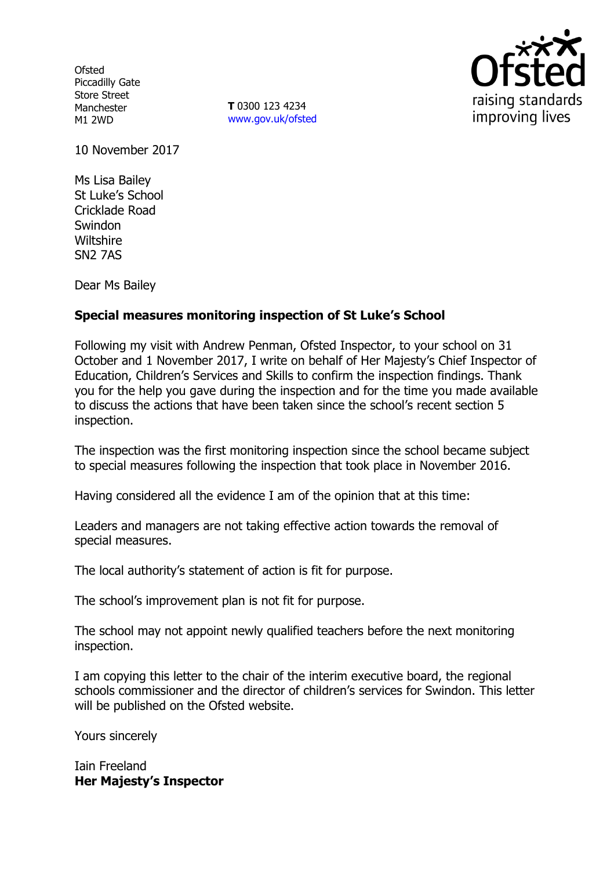**Ofsted** Piccadilly Gate Store Street Manchester M1 2WD

**T** 0300 123 4234 www.gov.uk/ofsted



10 November 2017

Ms Lisa Bailey St Luke's School Cricklade Road **Swindon Wiltshire** SN2 7AS

Dear Ms Bailey

# **Special measures monitoring inspection of St Luke's School**

Following my visit with Andrew Penman, Ofsted Inspector, to your school on 31 October and 1 November 2017, I write on behalf of Her Majesty's Chief Inspector of Education, Children's Services and Skills to confirm the inspection findings. Thank you for the help you gave during the inspection and for the time you made available to discuss the actions that have been taken since the school's recent section 5 inspection.

The inspection was the first monitoring inspection since the school became subject to special measures following the inspection that took place in November 2016.

Having considered all the evidence I am of the opinion that at this time:

Leaders and managers are not taking effective action towards the removal of special measures.

The local authority's statement of action is fit for purpose.

The school's improvement plan is not fit for purpose.

The school may not appoint newly qualified teachers before the next monitoring inspection.

I am copying this letter to the chair of the interim executive board, the regional schools commissioner and the director of children's services for Swindon. This letter will be published on the Ofsted website.

Yours sincerely

Iain Freeland **Her Majesty's Inspector**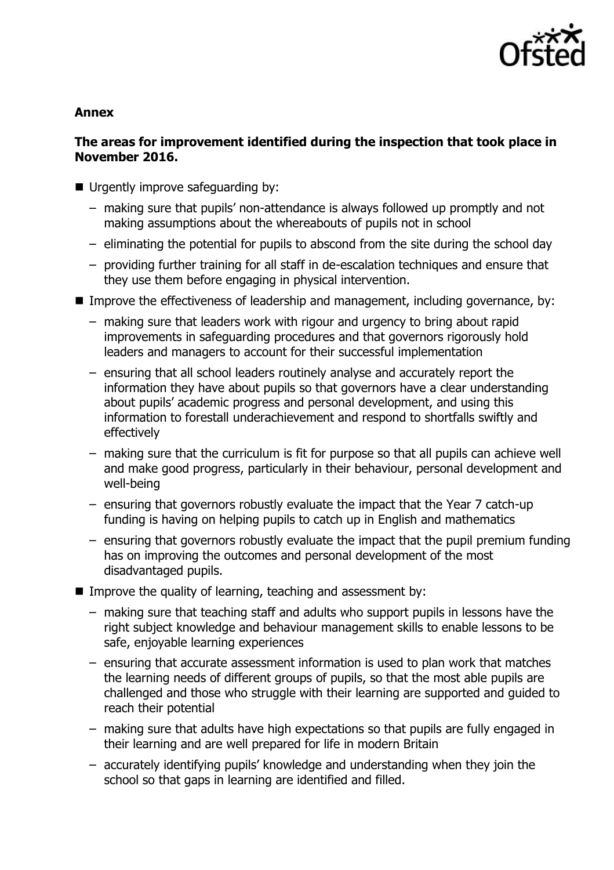

### **Annex**

# **The areas for improvement identified during the inspection that took place in November 2016.**

- Urgently improve safeguarding by:
	- making sure that pupils' non-attendance is always followed up promptly and not making assumptions about the whereabouts of pupils not in school
	- eliminating the potential for pupils to abscond from the site during the school day
	- providing further training for all staff in de-escalation techniques and ensure that they use them before engaging in physical intervention.
- Improve the effectiveness of leadership and management, including governance, by:
	- making sure that leaders work with rigour and urgency to bring about rapid improvements in safeguarding procedures and that governors rigorously hold leaders and managers to account for their successful implementation
	- ensuring that all school leaders routinely analyse and accurately report the information they have about pupils so that governors have a clear understanding about pupils' academic progress and personal development, and using this information to forestall underachievement and respond to shortfalls swiftly and effectively
	- making sure that the curriculum is fit for purpose so that all pupils can achieve well and make good progress, particularly in their behaviour, personal development and well-being
	- ensuring that governors robustly evaluate the impact that the Year 7 catch-up funding is having on helping pupils to catch up in English and mathematics
	- ensuring that governors robustly evaluate the impact that the pupil premium funding has on improving the outcomes and personal development of the most disadvantaged pupils.
- **IMPROVE the quality of learning, teaching and assessment by:** 
	- making sure that teaching staff and adults who support pupils in lessons have the right subject knowledge and behaviour management skills to enable lessons to be safe, enjoyable learning experiences
	- ensuring that accurate assessment information is used to plan work that matches the learning needs of different groups of pupils, so that the most able pupils are challenged and those who struggle with their learning are supported and guided to reach their potential
	- making sure that adults have high expectations so that pupils are fully engaged in their learning and are well prepared for life in modern Britain
	- accurately identifying pupils' knowledge and understanding when they join the school so that gaps in learning are identified and filled.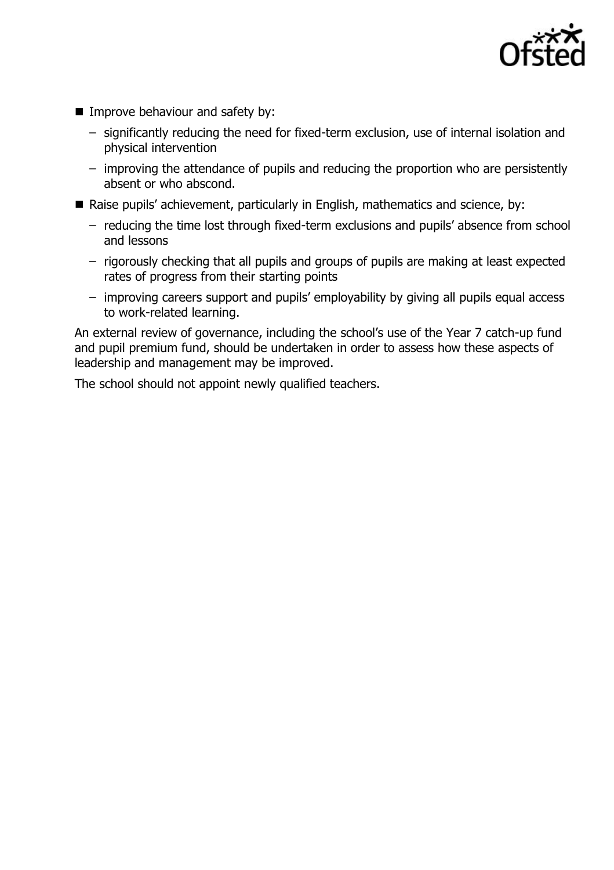

- Improve behaviour and safety by:
	- significantly reducing the need for fixed-term exclusion, use of internal isolation and physical intervention
	- improving the attendance of pupils and reducing the proportion who are persistently absent or who abscond.
- Raise pupils' achievement, particularly in English, mathematics and science, by:
	- reducing the time lost through fixed-term exclusions and pupils' absence from school and lessons
	- rigorously checking that all pupils and groups of pupils are making at least expected rates of progress from their starting points
	- improving careers support and pupils' employability by giving all pupils equal access to work-related learning.

An external review of governance, including the school's use of the Year 7 catch-up fund and pupil premium fund, should be undertaken in order to assess how these aspects of leadership and management may be improved.

The school should not appoint newly qualified teachers.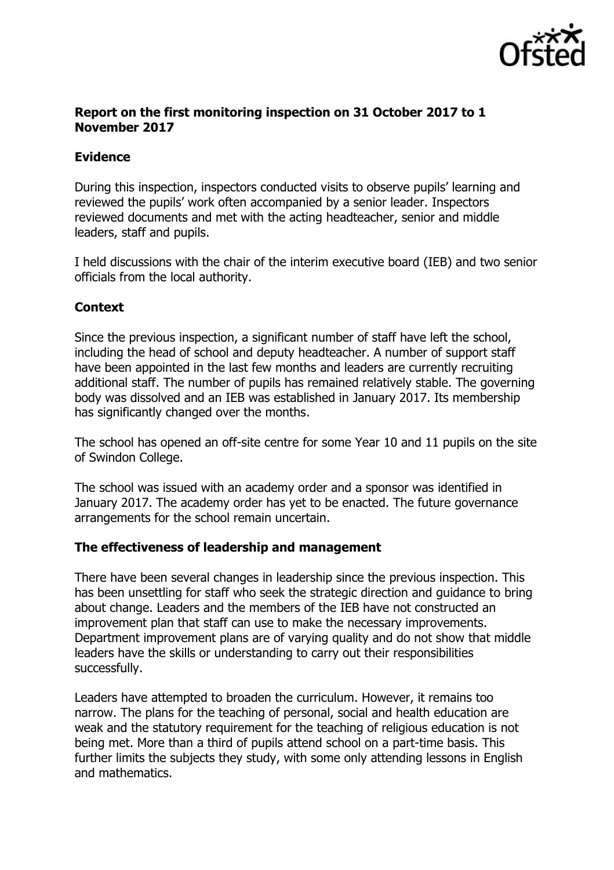

## **Report on the first monitoring inspection on 31 October 2017 to 1 November 2017**

# **Evidence**

During this inspection, inspectors conducted visits to observe pupils' learning and reviewed the pupils' work often accompanied by a senior leader. Inspectors reviewed documents and met with the acting headteacher, senior and middle leaders, staff and pupils.

I held discussions with the chair of the interim executive board (IEB) and two senior officials from the local authority.

# **Context**

Since the previous inspection, a significant number of staff have left the school, including the head of school and deputy headteacher. A number of support staff have been appointed in the last few months and leaders are currently recruiting additional staff. The number of pupils has remained relatively stable. The governing body was dissolved and an IEB was established in January 2017. Its membership has significantly changed over the months.

The school has opened an off-site centre for some Year 10 and 11 pupils on the site of Swindon College.

The school was issued with an academy order and a sponsor was identified in January 2017. The academy order has yet to be enacted. The future governance arrangements for the school remain uncertain.

# **The effectiveness of leadership and management**

There have been several changes in leadership since the previous inspection. This has been unsettling for staff who seek the strategic direction and guidance to bring about change. Leaders and the members of the IEB have not constructed an improvement plan that staff can use to make the necessary improvements. Department improvement plans are of varying quality and do not show that middle leaders have the skills or understanding to carry out their responsibilities successfully.

Leaders have attempted to broaden the curriculum. However, it remains too narrow. The plans for the teaching of personal, social and health education are weak and the statutory requirement for the teaching of religious education is not being met. More than a third of pupils attend school on a part-time basis. This further limits the subjects they study, with some only attending lessons in English and mathematics.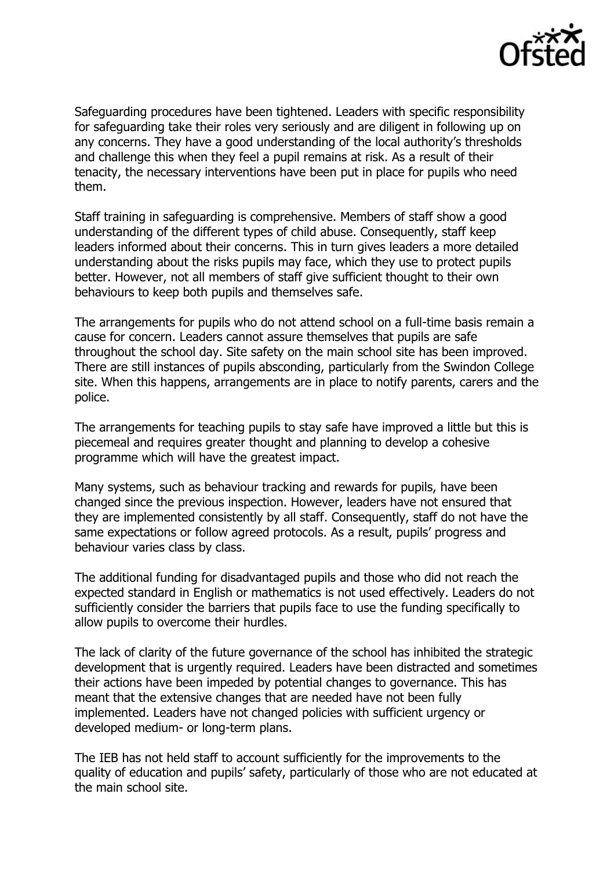

Safeguarding procedures have been tightened. Leaders with specific responsibility for safeguarding take their roles very seriously and are diligent in following up on any concerns. They have a good understanding of the local authority's thresholds and challenge this when they feel a pupil remains at risk. As a result of their tenacity, the necessary interventions have been put in place for pupils who need them.

Staff training in safeguarding is comprehensive. Members of staff show a good understanding of the different types of child abuse. Consequently, staff keep leaders informed about their concerns. This in turn gives leaders a more detailed understanding about the risks pupils may face, which they use to protect pupils better. However, not all members of staff give sufficient thought to their own behaviours to keep both pupils and themselves safe.

The arrangements for pupils who do not attend school on a full-time basis remain a cause for concern. Leaders cannot assure themselves that pupils are safe throughout the school day. Site safety on the main school site has been improved. There are still instances of pupils absconding, particularly from the Swindon College site. When this happens, arrangements are in place to notify parents, carers and the police.

The arrangements for teaching pupils to stay safe have improved a little but this is piecemeal and requires greater thought and planning to develop a cohesive programme which will have the greatest impact.

Many systems, such as behaviour tracking and rewards for pupils, have been changed since the previous inspection. However, leaders have not ensured that they are implemented consistently by all staff. Consequently, staff do not have the same expectations or follow agreed protocols. As a result, pupils' progress and behaviour varies class by class.

The additional funding for disadvantaged pupils and those who did not reach the expected standard in English or mathematics is not used effectively. Leaders do not sufficiently consider the barriers that pupils face to use the funding specifically to allow pupils to overcome their hurdles.

The lack of clarity of the future governance of the school has inhibited the strategic development that is urgently required. Leaders have been distracted and sometimes their actions have been impeded by potential changes to governance. This has meant that the extensive changes that are needed have not been fully implemented. Leaders have not changed policies with sufficient urgency or developed medium- or long-term plans.

The IEB has not held staff to account sufficiently for the improvements to the quality of education and pupils' safety, particularly of those who are not educated at the main school site.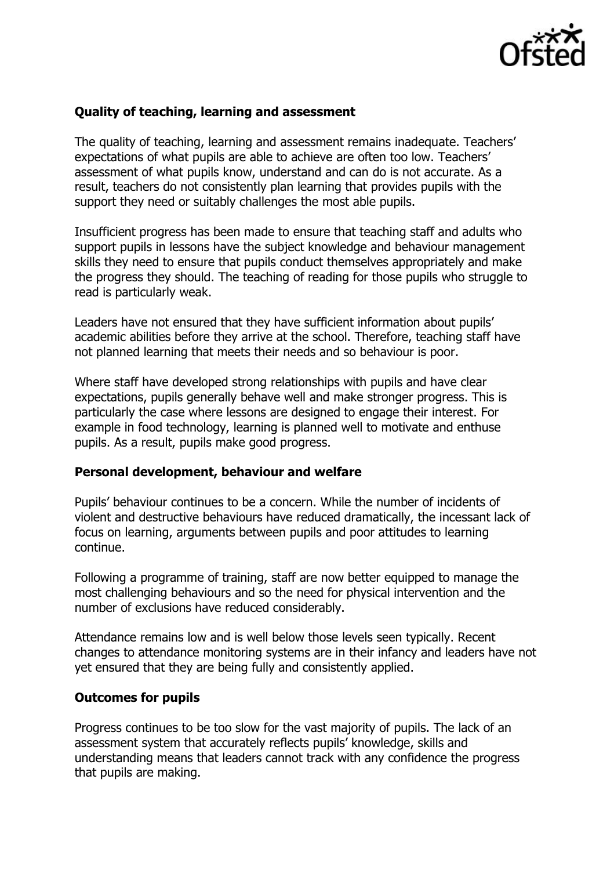

### **Quality of teaching, learning and assessment**

The quality of teaching, learning and assessment remains inadequate. Teachers' expectations of what pupils are able to achieve are often too low. Teachers' assessment of what pupils know, understand and can do is not accurate. As a result, teachers do not consistently plan learning that provides pupils with the support they need or suitably challenges the most able pupils.

Insufficient progress has been made to ensure that teaching staff and adults who support pupils in lessons have the subject knowledge and behaviour management skills they need to ensure that pupils conduct themselves appropriately and make the progress they should. The teaching of reading for those pupils who struggle to read is particularly weak.

Leaders have not ensured that they have sufficient information about pupils' academic abilities before they arrive at the school. Therefore, teaching staff have not planned learning that meets their needs and so behaviour is poor.

Where staff have developed strong relationships with pupils and have clear expectations, pupils generally behave well and make stronger progress. This is particularly the case where lessons are designed to engage their interest. For example in food technology, learning is planned well to motivate and enthuse pupils. As a result, pupils make good progress.

#### **Personal development, behaviour and welfare**

Pupils' behaviour continues to be a concern. While the number of incidents of violent and destructive behaviours have reduced dramatically, the incessant lack of focus on learning, arguments between pupils and poor attitudes to learning continue.

Following a programme of training, staff are now better equipped to manage the most challenging behaviours and so the need for physical intervention and the number of exclusions have reduced considerably.

Attendance remains low and is well below those levels seen typically. Recent changes to attendance monitoring systems are in their infancy and leaders have not yet ensured that they are being fully and consistently applied.

#### **Outcomes for pupils**

Progress continues to be too slow for the vast majority of pupils. The lack of an assessment system that accurately reflects pupils' knowledge, skills and understanding means that leaders cannot track with any confidence the progress that pupils are making.